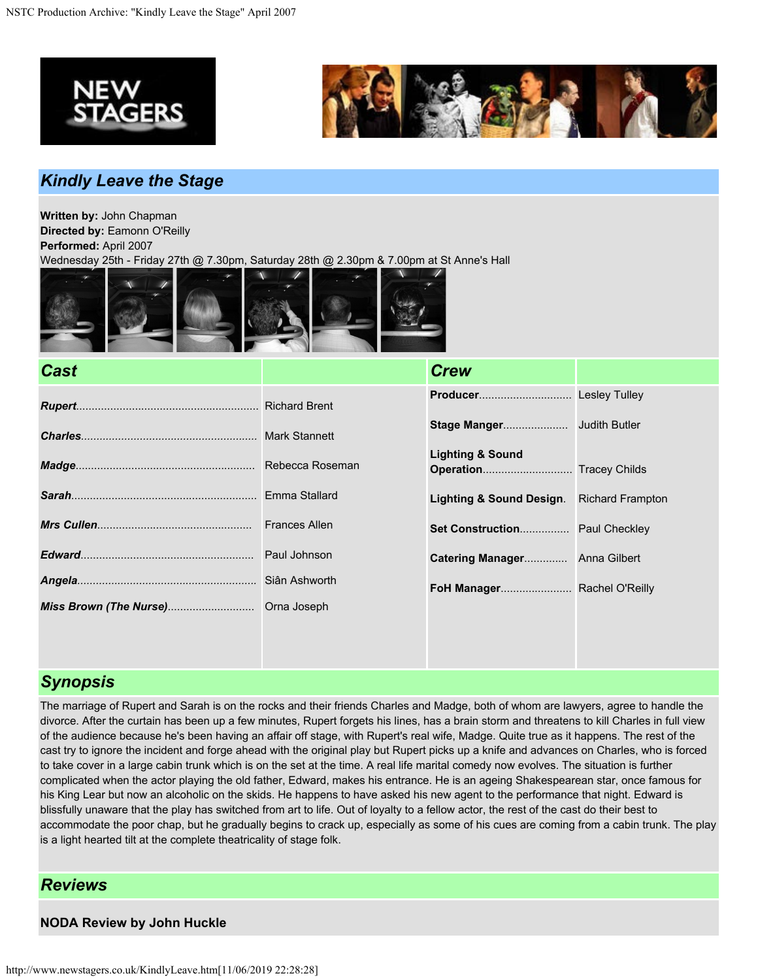



# *Kindly Leave the Stage*

**Written by:** John Chapman **Directed by:** Eamonn O'Reilly **Performed:** April 2007

Wednesday 25th - Friday 27th @ 7.30pm, Saturday 28th @ 2.30pm & 7.00pm at St Anne's Hall



| <b>Cast</b> | <b>Crew</b>                    |                         |
|-------------|--------------------------------|-------------------------|
|             |                                |                         |
|             |                                |                         |
|             | <b>Lighting &amp; Sound</b>    |                         |
|             | Lighting & Sound Design.       | <b>Richard Frampton</b> |
|             | Set Construction Paul Checkley |                         |
|             | Catering Manager Anna Gilbert  |                         |
|             |                                |                         |
|             |                                |                         |
|             |                                |                         |
|             |                                |                         |

## *Synopsis*

The marriage of Rupert and Sarah is on the rocks and their friends Charles and Madge, both of whom are lawyers, agree to handle the divorce. After the curtain has been up a few minutes, Rupert forgets his lines, has a brain storm and threatens to kill Charles in full view of the audience because he's been having an affair off stage, with Rupert's real wife, Madge. Quite true as it happens. The rest of the cast try to ignore the incident and forge ahead with the original play but Rupert picks up a knife and advances on Charles, who is forced to take cover in a large cabin trunk which is on the set at the time. A real life marital comedy now evolves. The situation is further complicated when the actor playing the old father, Edward, makes his entrance. He is an ageing Shakespearean star, once famous for his King Lear but now an alcoholic on the skids. He happens to have asked his new agent to the performance that night. Edward is blissfully unaware that the play has switched from art to life. Out of loyalty to a fellow actor, the rest of the cast do their best to accommodate the poor chap, but he gradually begins to crack up, especially as some of his cues are coming from a cabin trunk. The play is a light hearted tilt at the complete theatricality of stage folk.

## *Reviews*

**NODA Review by John Huckle**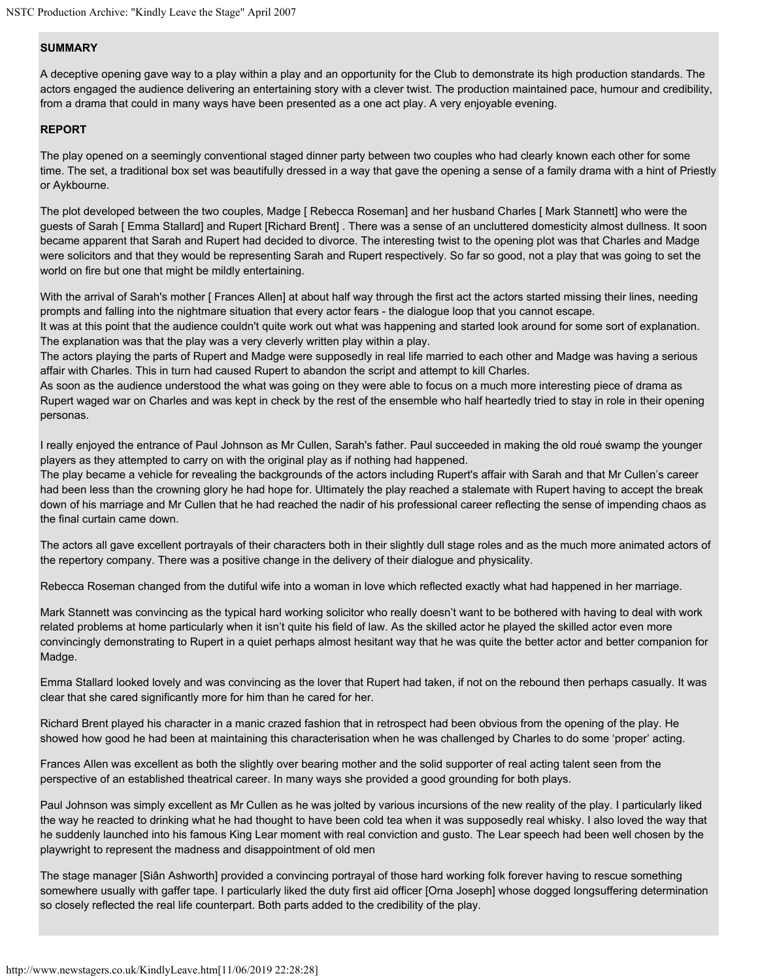#### **SUMMARY**

A deceptive opening gave way to a play within a play and an opportunity for the Club to demonstrate its high production standards. The actors engaged the audience delivering an entertaining story with a clever twist. The production maintained pace, humour and credibility, from a drama that could in many ways have been presented as a one act play. A very enjoyable evening.

#### **REPORT**

The play opened on a seemingly conventional staged dinner party between two couples who had clearly known each other for some time. The set, a traditional box set was beautifully dressed in a way that gave the opening a sense of a family drama with a hint of Priestly or Aykbourne.

The plot developed between the two couples, Madge [ Rebecca Roseman] and her husband Charles [ Mark Stannett] who were the guests of Sarah [ Emma Stallard] and Rupert [Richard Brent] . There was a sense of an uncluttered domesticity almost dullness. It soon became apparent that Sarah and Rupert had decided to divorce. The interesting twist to the opening plot was that Charles and Madge were solicitors and that they would be representing Sarah and Rupert respectively. So far so good, not a play that was going to set the world on fire but one that might be mildly entertaining.

With the arrival of Sarah's mother [ Frances Allen] at about half way through the first act the actors started missing their lines, needing prompts and falling into the nightmare situation that every actor fears - the dialogue loop that you cannot escape.

It was at this point that the audience couldn't quite work out what was happening and started look around for some sort of explanation. The explanation was that the play was a very cleverly written play within a play.

The actors playing the parts of Rupert and Madge were supposedly in real life married to each other and Madge was having a serious affair with Charles. This in turn had caused Rupert to abandon the script and attempt to kill Charles.

As soon as the audience understood the what was going on they were able to focus on a much more interesting piece of drama as Rupert waged war on Charles and was kept in check by the rest of the ensemble who half heartedly tried to stay in role in their opening personas.

I really enjoyed the entrance of Paul Johnson as Mr Cullen, Sarah's father. Paul succeeded in making the old roué swamp the younger players as they attempted to carry on with the original play as if nothing had happened.

The play became a vehicle for revealing the backgrounds of the actors including Rupert's affair with Sarah and that Mr Cullen's career had been less than the crowning glory he had hope for. Ultimately the play reached a stalemate with Rupert having to accept the break down of his marriage and Mr Cullen that he had reached the nadir of his professional career reflecting the sense of impending chaos as the final curtain came down.

The actors all gave excellent portrayals of their characters both in their slightly dull stage roles and as the much more animated actors of the repertory company. There was a positive change in the delivery of their dialogue and physicality.

Rebecca Roseman changed from the dutiful wife into a woman in love which reflected exactly what had happened in her marriage.

Mark Stannett was convincing as the typical hard working solicitor who really doesn't want to be bothered with having to deal with work related problems at home particularly when it isn't quite his field of law. As the skilled actor he played the skilled actor even more convincingly demonstrating to Rupert in a quiet perhaps almost hesitant way that he was quite the better actor and better companion for Madge.

Emma Stallard looked lovely and was convincing as the lover that Rupert had taken, if not on the rebound then perhaps casually. It was clear that she cared significantly more for him than he cared for her.

Richard Brent played his character in a manic crazed fashion that in retrospect had been obvious from the opening of the play. He showed how good he had been at maintaining this characterisation when he was challenged by Charles to do some 'proper' acting.

Frances Allen was excellent as both the slightly over bearing mother and the solid supporter of real acting talent seen from the perspective of an established theatrical career. In many ways she provided a good grounding for both plays.

Paul Johnson was simply excellent as Mr Cullen as he was jolted by various incursions of the new reality of the play. I particularly liked the way he reacted to drinking what he had thought to have been cold tea when it was supposedly real whisky. I also loved the way that he suddenly launched into his famous King Lear moment with real conviction and gusto. The Lear speech had been well chosen by the playwright to represent the madness and disappointment of old men

The stage manager [Siân Ashworth] provided a convincing portrayal of those hard working folk forever having to rescue something somewhere usually with gaffer tape. I particularly liked the duty first aid officer [Orna Joseph] whose dogged longsuffering determination so closely reflected the real life counterpart. Both parts added to the credibility of the play.